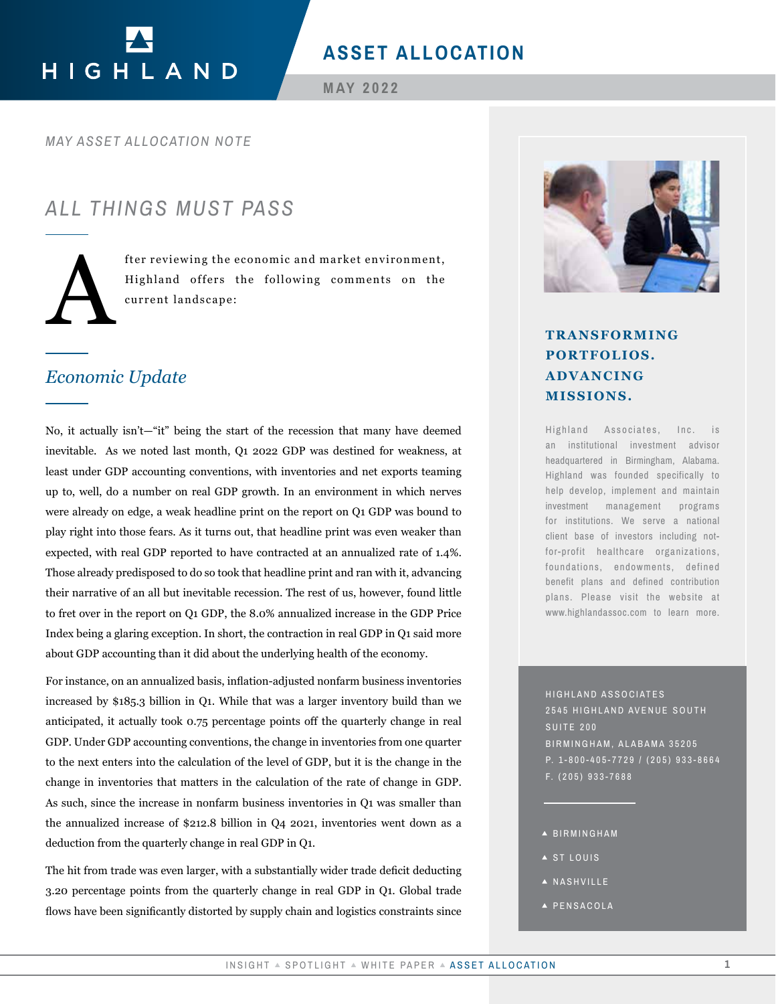# HIGHLAND

## **ASSET ALLOCATION**

**MAY 2022**

*MAY ASSET ALLOCATION NOTE*

# *ALL THINGS MUST PASS*



fter reviewing the economic and market environment,<br>Highland offers the following comments on the<br>current landscape: Highland offers the following comments on the current landscape:

## *Economic Update*

No, it actually isn't—"it" being the start of the recession that many have deemed inevitable. As we noted last month, Q1 2022 GDP was destined for weakness, at least under GDP accounting conventions, with inventories and net exports teaming up to, well, do a number on real GDP growth. In an environment in which nerves were already on edge, a weak headline print on the report on Q1 GDP was bound to play right into those fears. As it turns out, that headline print was even weaker than expected, with real GDP reported to have contracted at an annualized rate of 1.4%. Those already predisposed to do so took that headline print and ran with it, advancing their narrative of an all but inevitable recession. The rest of us, however, found little to fret over in the report on Q1 GDP, the 8.0% annualized increase in the GDP Price Index being a glaring exception. In short, the contraction in real GDP in Q1 said more about GDP accounting than it did about the underlying health of the economy. TRANSFORMING<br> **INSIGHT A CONTROLL ADVANCING**<br> **INSIGHT A CONTROLL ADVANCING**<br> **INSIGHT A CONTROLL ADVANCING**<br> **INSIGHT ASSET ALLOCATION**<br> **INSIGHT ASSET ALLOCATION**<br> **INSIGHT ASSET ALLOCATION**<br> **INSIGHT AND THE PAPER ASSE** 

For instance, on an annualized basis, inflation-adjusted nonfarm business inventories increased by \$185.3 billion in Q1. While that was a larger inventory build than we anticipated, it actually took 0.75 percentage points off the quarterly change in real GDP. Under GDP accounting conventions, the change in inventories from one quarter to the next enters into the calculation of the level of GDP, but it is the change in the change in inventories that matters in the calculation of the rate of change in GDP. As such, since the increase in nonfarm business inventories in Q1 was smaller than the annualized increase of \$212.8 billion in Q4 2021, inventories went down as a deduction from the quarterly change in real GDP in Q1.

The hit from trade was even larger, with a substantially wider trade deficit deducting 3.20 percentage points from the quarterly change in real GDP in Q1. Global trade flows have been significantly distorted by supply chain and logistics constraints since



# **PORTFOLIOS. ADVANCING MISSIONS.**

Highland Associates, Inc. is an institutional investment advisor headquartered in Birmingham, Alabama. Highland was founded specifically to help develop, implement and maintain investment management programs for institutions. We serve a national client base of investors including notfor-profit healthcare organizations, foundations, endowments, defined benefit plans and defined contribution plans. Please visit the website at www.highlandassoc.com to learn more.

HIGHLAND ASSOCIATES 2545 HIGHLAND AVENUE SOUTH SUITE 200 BIRMINGHAM, ALABAMA 35205 P. 1-800-405-7729 / (205) 933-8664 F. (205) 933-7688

- BIRMINGHAM
- ▲ ST LOUIS
- A NASHVILLE
- PENSACOLA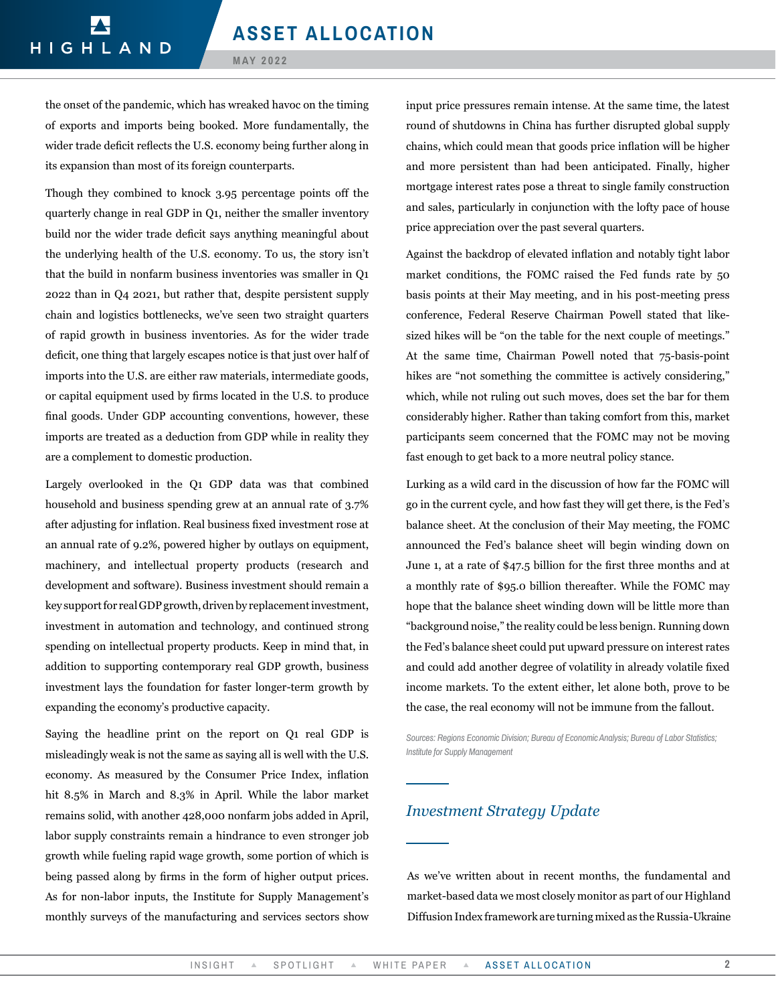#### **MAY 2022**

the onset of the pandemic, which has wreaked havoc on the timing of exports and imports being booked. More fundamentally, the wider trade deficit reflects the U.S. economy being further along in its expansion than most of its foreign counterparts.

Though they combined to knock 3.95 percentage points off the quarterly change in real GDP in Q1, neither the smaller inventory build nor the wider trade deficit says anything meaningful about the underlying health of the U.S. economy. To us, the story isn't that the build in nonfarm business inventories was smaller in Q1 2022 than in Q4 2021, but rather that, despite persistent supply chain and logistics bottlenecks, we've seen two straight quarters of rapid growth in business inventories. As for the wider trade deficit, one thing that largely escapes notice is that just over half of imports into the U.S. are either raw materials, intermediate goods, or capital equipment used by firms located in the U.S. to produce final goods. Under GDP accounting conventions, however, these imports are treated as a deduction from GDP while in reality they are a complement to domestic production.

Largely overlooked in the Q1 GDP data was that combined household and business spending grew at an annual rate of 3.7% after adjusting for inflation. Real business fixed investment rose at an annual rate of 9.2%, powered higher by outlays on equipment, machinery, and intellectual property products (research and development and software). Business investment should remain a key support for real GDP growth, driven by replacement investment, investment in automation and technology, and continued strong spending on intellectual property products. Keep in mind that, in addition to supporting contemporary real GDP growth, business investment lays the foundation for faster longer-term growth by expanding the economy's productive capacity.

Saying the headline print on the report on Q1 real GDP is misleadingly weak is not the same as saying all is well with the U.S. economy. As measured by the Consumer Price Index, inflation hit 8.5% in March and 8.3% in April. While the labor market remains solid, with another 428,000 nonfarm jobs added in April, labor supply constraints remain a hindrance to even stronger job growth while fueling rapid wage growth, some portion of which is being passed along by firms in the form of higher output prices. As for non-labor inputs, the Institute for Supply Management's monthly surveys of the manufacturing and services sectors show

input price pressures remain intense. At the same time, the latest round of shutdowns in China has further disrupted global supply chains, which could mean that goods price inflation will be higher and more persistent than had been anticipated. Finally, higher mortgage interest rates pose a threat to single family construction and sales, particularly in conjunction with the lofty pace of house price appreciation over the past several quarters.

Against the backdrop of elevated inflation and notably tight labor market conditions, the FOMC raised the Fed funds rate by 50 basis points at their May meeting, and in his post-meeting press conference, Federal Reserve Chairman Powell stated that likesized hikes will be "on the table for the next couple of meetings." At the same time, Chairman Powell noted that 75-basis-point hikes are "not something the committee is actively considering," which, while not ruling out such moves, does set the bar for them considerably higher. Rather than taking comfort from this, market participants seem concerned that the FOMC may not be moving fast enough to get back to a more neutral policy stance.

Lurking as a wild card in the discussion of how far the FOMC will go in the current cycle, and how fast they will get there, is the Fed's balance sheet. At the conclusion of their May meeting, the FOMC announced the Fed's balance sheet will begin winding down on June 1, at a rate of \$47.5 billion for the first three months and at a monthly rate of \$95.0 billion thereafter. While the FOMC may hope that the balance sheet winding down will be little more than "background noise," the reality could be less benign. Running down the Fed's balance sheet could put upward pressure on interest rates and could add another degree of volatility in already volatile fixed income markets. To the extent either, let alone both, prove to be the case, the real economy will not be immune from the fallout.

*Sources: Regions Economic Division; Bureau of Economic Analysis; Bureau of Labor Statistics; Institute for Supply Management* 

## *Investment Strategy Update*

As we've written about in recent months, the fundamental and market-based data we most closely monitor as part of our Highland Diffusion Index framework are turning mixed as the Russia-Ukraine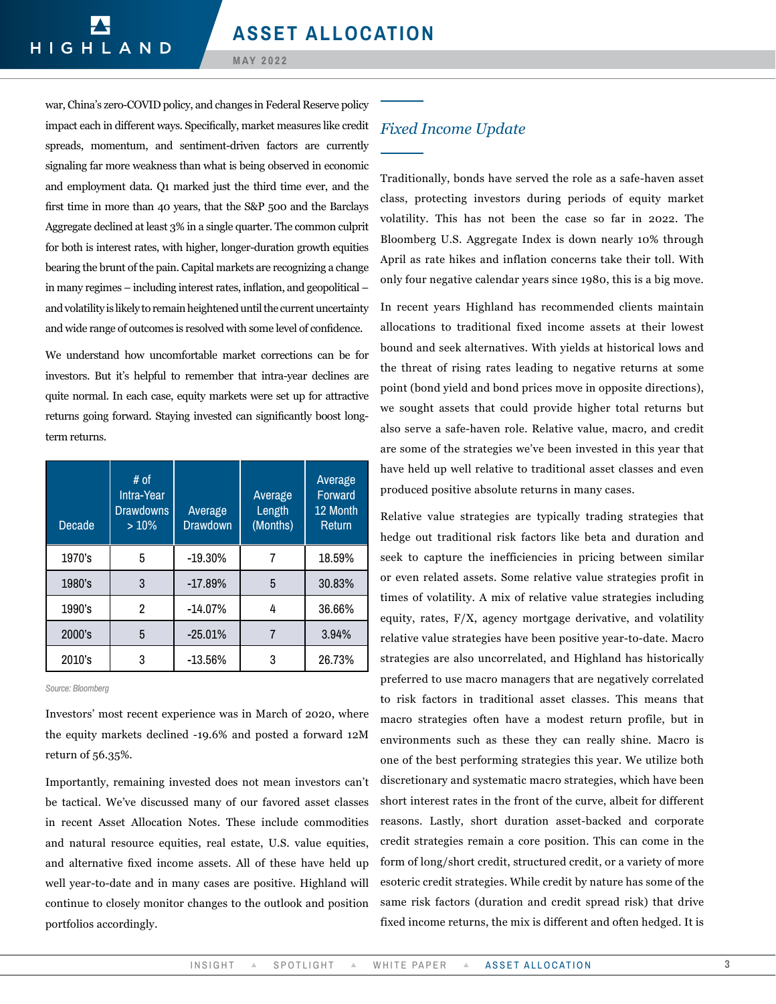#### **MAY 2022**

war, China's zero-COVID policy, and changes in Federal Reserve policy impact each in different ways. Specifically, market measures like credit spreads, momentum, and sentiment-driven factors are currently signaling far more weakness than what is being observed in economic and employment data. Q1 marked just the third time ever, and the first time in more than 40 years, that the S&P 500 and the Barclays Aggregate declined at least 3% in a single quarter. The common culprit for both is interest rates, with higher, longer-duration growth equities bearing the brunt of the pain. Capital markets are recognizing a change in many regimes – including interest rates, inflation, and geopolitical – and volatility is likely to remain heightened until the current uncertainty and wide range of outcomes is resolved with some level of confidence.

We understand how uncomfortable market corrections can be for investors. But it's helpful to remember that intra-year declines are quite normal. In each case, equity markets were set up for attractive returns going forward. Staying invested can significantly boost longterm returns.

| Decade | # of<br>Intra-Year<br><b>Drawdowns</b><br>$>10\%$ | Average<br><b>Drawdown</b> | Average<br>Length<br>(Months) | Average<br>Forward<br>12 Month<br><b>Return</b> |
|--------|---------------------------------------------------|----------------------------|-------------------------------|-------------------------------------------------|
| 1970's | 5                                                 | $-19.30%$                  |                               | 18.59%                                          |
| 1980's | 3                                                 | $-17.89%$                  | 5                             | 30.83%                                          |
| 1990's | 2                                                 | $-14.07%$                  | 4                             | 36.66%                                          |
| 2000's | 5                                                 | $-25.01%$                  |                               | 3.94%                                           |
| 2010's | 3                                                 | $-13.56%$                  | 3                             | 26.73%                                          |

*Source: Bloomberg*

Investors' most recent experience was in March of 2020, where the equity markets declined -19.6% and posted a forward 12M return of 56.35%.

Importantly, remaining invested does not mean investors can't be tactical. We've discussed many of our favored asset classes in recent Asset Allocation Notes. These include commodities and natural resource equities, real estate, U.S. value equities, and alternative fixed income assets. All of these have held up well year-to-date and in many cases are positive. Highland will continue to closely monitor changes to the outlook and position portfolios accordingly.

### *Fixed Income Update*

Traditionally, bonds have served the role as a safe-haven asset class, protecting investors during periods of equity market volatility. This has not been the case so far in 2022. The Bloomberg U.S. Aggregate Index is down nearly 10% through April as rate hikes and inflation concerns take their toll. With only four negative calendar years since 1980, this is a big move.

In recent years Highland has recommended clients maintain allocations to traditional fixed income assets at their lowest bound and seek alternatives. With yields at historical lows and the threat of rising rates leading to negative returns at some point (bond yield and bond prices move in opposite directions), we sought assets that could provide higher total returns but also serve a safe-haven role. Relative value, macro, and credit are some of the strategies we've been invested in this year that have held up well relative to traditional asset classes and even produced positive absolute returns in many cases.

Relative value strategies are typically trading strategies that hedge out traditional risk factors like beta and duration and seek to capture the inefficiencies in pricing between similar or even related assets. Some relative value strategies profit in times of volatility. A mix of relative value strategies including equity, rates, F/X, agency mortgage derivative, and volatility relative value strategies have been positive year-to-date. Macro strategies are also uncorrelated, and Highland has historically preferred to use macro managers that are negatively correlated to risk factors in traditional asset classes. This means that macro strategies often have a modest return profile, but in environments such as these they can really shine. Macro is one of the best performing strategies this year. We utilize both discretionary and systematic macro strategies, which have been short interest rates in the front of the curve, albeit for different reasons. Lastly, short duration asset-backed and corporate credit strategies remain a core position. This can come in the form of long/short credit, structured credit, or a variety of more esoteric credit strategies. While credit by nature has some of the same risk factors (duration and credit spread risk) that drive fixed income returns, the mix is different and often hedged. It is